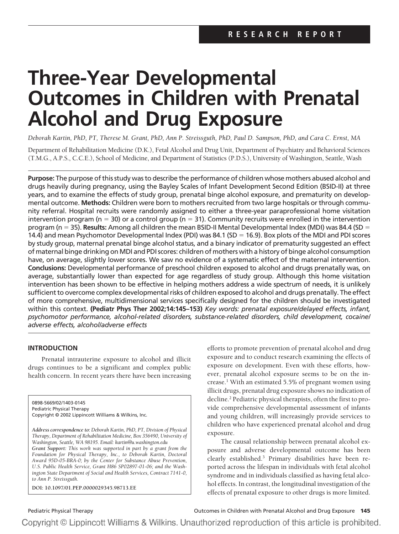# **Three-Year Developmental Outcomes in Children with Prenatal Alcohol and Drug Exposure**

*Deborah Kartin, PhD, PT, Therese M. Grant, PhD, Ann P. Streissguth, PhD, Paul D. Sampson, PhD, and Cara C. Ernst, MA*

Department of Rehabilitation Medicine (D.K.), Fetal Alcohol and Drug Unit, Department of Psychiatry and Behavioral Sciences (T.M.G., A.P.S., C.C.E.), School of Medicine, and Department of Statistics (P.D.S.), University of Washington, Seattle, Wash

**Purpose:** The purpose of this study was to describe the performance of children whose mothers abused alcohol and drugs heavily during pregnancy, using the Bayley Scales of Infant Development Second Edition (BSID-II) at three years, and to examine the effects of study group, prenatal binge alcohol exposure, and prematurity on developmental outcome. **Methods:** Children were born to mothers recruited from two large hospitals or through community referral. Hospital recruits were randomly assigned to either a three-year paraprofessional home visitation intervention program (n = 30) or a control group (n = 31). Community recruits were enrolled in the intervention program (n 35). **Results:** Among all children the mean BSID-II Mental Developmental Index (MDI) was 84.4 (SD 14.4) and mean Psychomotor Developmental Index (PDI) was 84.1 (SD  $=$  16.9). Box plots of the MDI and PDI scores by study group, maternal prenatal binge alcohol status, and a binary indicator of prematurity suggested an effect of maternal binge drinking on MDI and PDI scores: children of mothers with a history of binge alcohol consumption have, on average, slightly lower scores. We saw no evidence of a systematic effect of the maternal intervention. **Conclusions:** Developmental performance of preschool children exposed to alcohol and drugs prenatally was, on average, substantially lower than expected for age regardless of study group. Although this home visitation intervention has been shown to be effective in helping mothers address a wide spectrum of needs, it is unlikely sufficient to overcome complex developmental risks of children exposed to alcohol and drugs prenatally. The effect of more comprehensive, multidimensional services specifically designed for the children should be investigated within this context. **(Pediatr Phys Ther 2002;14:145–153)** *Key words: prenatal exposure/delayed effects, infant, psychomotor performance, alcohol-related disorders, substance-related disorders, child development, cocaine/ adverse effects, alcohol/adverse effects*

# **INTRODUCTION**

Prenatal intrauterine exposure to alcohol and illicit drugs continues to be a significant and complex public health concern. In recent years there have been increasing

0898-5669/02/1403-0145 Pediatric Physical Therapy Copyright © 2002 Lippincott Williams & Wilkins, Inc.

*Address correspondence to: Deborah Kartin, PhD, PT, Division of Physical Therapy, Department of Rehabilitation Medicine, Box 356490, University of Washington, Seattle, WA 98195. Email: kartin@u.washington.edu Grant Support: This work was supported in part by a grant from the Foundation for Physical Therapy, Inc., to Deborah Kartin, Doctoral Award 95D-05-BRA-0; by the Center for Substance Abuse Prevention, U.S. Public Health Service, Grant H86 SP02897-01-06; and the Washington State Department of Social and Health Services, Contract 7141-0, to Ann P. Streissguth.*

**DOI: 10.1097/01.PEP.0000029345.98713.EE**

efforts to promote prevention of prenatal alcohol and drug exposure and to conduct research examining the effects of exposure on development. Even with these efforts, however, prenatal alcohol exposure seems to be on the increase.<sup>1</sup> With an estimated 5.5% of pregnant women using illicit drugs, prenatal drug exposure shows no indication of decline.2 Pediatric physical therapists, often the first to provide comprehensive developmental assessment of infants and young children, will increasingly provide services to children who have experienced prenatal alcohol and drug exposure.

The causal relationship between prenatal alcohol exposure and adverse developmental outcome has been clearly established.3 Primary disabilities have been reported across the lifespan in individuals with fetal alcohol syndrome and in individuals classified as having fetal alcohol effects. In contrast, the longitudinal investigation of the effects of prenatal exposure to other drugs is more limited.

Pediatric Physical Therapy **Outcomes in Children with Prenatal Alcohol and Drug Exposure** 145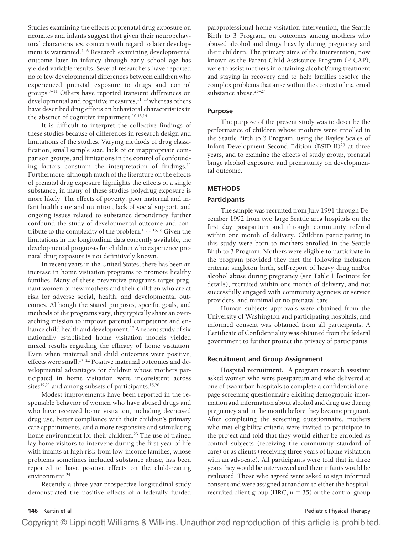Studies examining the effects of prenatal drug exposure on neonates and infants suggest that given their neurobehavioral characteristics, concern with regard to later development is warranted.<sup>4-6</sup> Research examining developmental outcome later in infancy through early school age has yielded variable results. Several researchers have reported no or few developmental differences between children who experienced prenatal exposure to drugs and control groups.7–11 Others have reported transient differences on developmental and cognitive measures,<sup>11-13</sup> whereas others have described drug effects on behavioral characteristics in the absence of cognitive impairment.<sup>10,13,14</sup>

It is difficult to interpret the collective findings of these studies because of differences in research design and limitations of the studies. Varying methods of drug classification, small sample size, lack of or inappropriate comparison groups, and limitations in the control of confounding factors constrain the interpretation of findings.<sup>11</sup> Furthermore, although much of the literature on the effects of prenatal drug exposure highlights the effects of a single substance, in many of these studies polydrug exposure is more likely. The effects of poverty, poor maternal and infant health care and nutrition, lack of social support, and ongoing issues related to substance dependency further confound the study of developmental outcome and contribute to the complexity of the problem.11,13,15,16 Given the limitations in the longitudinal data currently available, the developmental prognosis for children who experience prenatal drug exposure is not definitively known.

In recent years in the United States, there has been an increase in home visitation programs to promote healthy families. Many of these preventive programs target pregnant women or new mothers and their children who are at risk for adverse social, health, and developmental outcomes. Although the stated purposes, specific goals, and methods of the programs vary, they typically share an overarching mission to improve parental competence and enhance child health and development.<sup>17</sup> A recent study of six nationally established home visitation models yielded mixed results regarding the efficacy of home visitation. Even when maternal and child outcomes were positive, effects were small.<sup>17-22</sup> Positive maternal outcomes and developmental advantages for children whose mothers participated in home visitation were inconsistent across sites<sup>19,21</sup> and among subsets of participants.<sup>15,20</sup>

Modest improvements have been reported in the responsible behavior of women who have abused drugs and who have received home visitation, including decreased drug use, better compliance with their children's primary care appointments, and a more responsive and stimulating home environment for their children.<sup>23</sup> The use of trained lay home visitors to intervene during the first year of life with infants at high risk from low-income families, whose problems sometimes included substance abuse, has been reported to have positive effects on the child-rearing environment.<sup>24</sup>

Recently a three-year prospective longitudinal study demonstrated the positive effects of a federally funded

paraprofessional home visitation intervention, the Seattle Birth to 3 Program, on outcomes among mothers who abused alcohol and drugs heavily during pregnancy and their children. The primary aims of the intervention, now known as the Parent-Child Assistance Program (P-CAP), were to assist mothers in obtaining alcohol/drug treatment and staying in recovery and to help families resolve the complex problems that arise within the context of maternal substance abuse.25–27

#### **Purpose**

The purpose of the present study was to describe the performance of children whose mothers were enrolled in the Seattle Birth to 3 Program, using the Bayley Scales of Infant Development Second Edition (BSID-II)28 at three years, and to examine the effects of study group, prenatal binge alcohol exposure, and prematurity on developmental outcome.

#### **METHODS**

#### **Participants**

The sample was recruited from July 1991 through December 1992 from two large Seattle area hospitals on the first day postpartum and through community referral within one month of delivery. Children participating in this study were born to mothers enrolled in the Seattle Birth to 3 Program. Mothers were eligible to participate in the program provided they met the following inclusion criteria: singleton birth, self-report of heavy drug and/or alcohol abuse during pregnancy (see Table 1 footnote for details), recruited within one month of delivery, and not successfully engaged with community agencies or service providers, and minimal or no prenatal care.

Human subjects approvals were obtained from the University of Washington and participating hospitals, and informed consent was obtained from all participants. A Certificate of Confidentiality was obtained from the federal government to further protect the privacy of participants.

# **Recruitment and Group Assignment**

**Hospital recruitment.** A program research assistant asked women who were postpartum and who delivered at one of two urban hospitals to complete a confidential onepage screening questionnaire eliciting demographic information and information about alcohol and drug use during pregnancy and in the month before they became pregnant. After completing the screening questionnaire, mothers who met eligibility criteria were invited to participate in the project and told that they would either be enrolled as control subjects (receiving the community standard of care) or as clients (receiving three years of home visitation with an advocate). All participants were told that in three years they would be interviewed and their infants would be evaluated. Those who agreed were asked to sign informed consent and were assigned at random to either the hospitalrecruited client group (HRC,  $n = 35$ ) or the control group

### **146** Kartin et al **Pediatric Physical Therapy Pediatric Physical Therapy Pediatric Physical Therapy**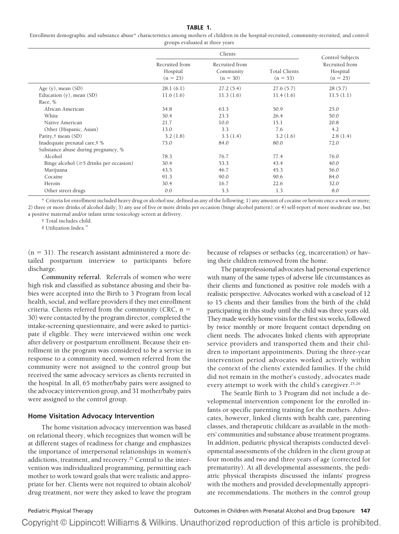#### **TABLE 1.**

Enrollment demographic and substance abuse\* characteristics among mothers of children in the hospital-recruited, community-recruited, and control groups evaluated at three years

|                                               | Clients                                  |                                           |                                    | Control Subjects                         |
|-----------------------------------------------|------------------------------------------|-------------------------------------------|------------------------------------|------------------------------------------|
|                                               | Recruited from<br>Hospital<br>$(n = 23)$ | Recruited from<br>Community<br>$(n = 30)$ | <b>Total Clients</b><br>$(n = 53)$ | Recruited from<br>Hospital<br>$(n = 25)$ |
| Age $(y)$ , mean $(SD)$                       | 28.1(6.1)                                | 27.2(5.4)                                 | 27.6(5.7)                          | 28(5.7)                                  |
| Education $(y)$ , mean $(SD)$                 | 11.6(1.6)                                | 11.3(1.6)                                 | 11.4(1.6)                          | 11.5(1.1)                                |
| Race, %                                       |                                          |                                           |                                    |                                          |
| African American                              | 34.8                                     | 63.3                                      | 50.9                               | 25.0                                     |
| White                                         | 30.4                                     | 23.3                                      | 26.4                               | 50.0                                     |
| Native American                               | 21.7                                     | 10.0                                      | 15.1                               | 20.8                                     |
| Other (Hispanic, Asian)                       | 13.0                                     | 3.3                                       | 7.6                                | 4.2                                      |
| Parity,† mean (SD)                            | 3.2(1.8)                                 | 3.3(1.4)                                  | 3.2(1.6)                           | 2.8(1.4)                                 |
| Inadequate prenatal care,# %                  | 75.0                                     | 84.0                                      | 80.0                               | 72.0                                     |
| Substance abuse during pregnancy, %           |                                          |                                           |                                    |                                          |
| Alcohol                                       | 78.3                                     | 76.7                                      | 77.4                               | 76.0                                     |
| Binge alcohol ( $\geq$ 5 drinks per occasion) | 30.4                                     | 53.3                                      | 43.4                               | 40.0                                     |
| Marijuana                                     | 43.5                                     | 46.7                                      | 45.3                               | 56.0                                     |
| Cocaine                                       | 91.3                                     | 90.0                                      | 90.6                               | 84.0                                     |
| Heroin                                        | 30.4                                     | 16.7                                      | 22.6                               | 32.0                                     |
| Other street drugs                            | 0.0                                      | 3.3                                       | 1.3                                | 8.0                                      |

\* Criteria for enrollment included heavy drug or alcohol use, defined as any of the following: 1) any amount of cocaine or heroin once a week or more; 2) three or more drinks of alcohol daily; 3) any use of five or more drinks per occasion (binge alcohol pattern); or 4) self-report of more moderate use, but a positive maternal and/or infant urine toxicology screen at delivery.

† Total includes child.

‡ Utilization Index.29

 $(n = 31)$ . The research assistant administered a more detailed postpartum interview to participants before discharge.

**Community referral.** Referrals of women who were high risk and classified as substance abusing and their babies were accepted into the Birth to 3 Program from local health, social, and welfare providers if they met enrollment criteria. Clients referred from the community (CRC,  $n =$ 30) were contacted by the program director, completed the intake-screening questionnaire, and were asked to participate if eligible. They were interviewed within one week after delivery or postpartum enrollment. Because their enrollment in the program was considered to be a service in response to a community need, women referred from the community were not assigned to the control group but received the same advocacy services as clients recruited in the hospital. In all, 65 mother/baby pairs were assigned to the advocacy intervention group, and 31 mother/baby pairs were assigned to the control group.

#### **Home Visitation Advocacy Intervention**

The home visitation advocacy intervention was based on relational theory, which recognizes that women will be at different stages of readiness for change and emphasizes the importance of interpersonal relationships in women's addictions, treatment, and recovery.<sup>25</sup> Central to the intervention was individualized programming, permitting each mother to work toward goals that were realistic and appropriate for her. Clients were not required to obtain alcohol/ drug treatment, nor were they asked to leave the program

because of relapses or setbacks (eg, incarceration) or having their children removed from the home.

The paraprofessional advocates had personal experience with many of the same types of adverse life circumstances as their clients and functioned as positive role models with a realistic perspective. Advocates worked with a caseload of 12 to 15 clients and their families from the birth of the child participating in this study until the child was three years old. They made weekly home visits for the first six weeks, followed by twice monthly or more frequent contact depending on client needs. The advocates linked clients with appropriate service providers and transported them and their children to important appointments. During the three-year intervention period advocates worked actively within the context of the clients' extended families. If the child did not remain in the mother's custody, advocates made every attempt to work with the child's caregiver.<sup>25,26</sup>

The Seattle Birth to 3 Program did not include a developmental intervention component for the enrolled infants or specific parenting training for the mothers. Advocates, however, linked clients with health care, parenting classes, and therapeutic childcare as available in the mothers' communities and substance abuse treatment programs. In addition, pediatric physical therapists conducted developmental assessments of the children in the client group at four months and two and three years of age (corrected for prematurity). At all developmental assessments, the pediatric physical therapists discussed the infants' progress with the mothers and provided developmentally appropriate recommendations. The mothers in the control group

Pediatric Physical Therapy Outcomes in Children with Prenatal Alcohol and Drug Exposure **147**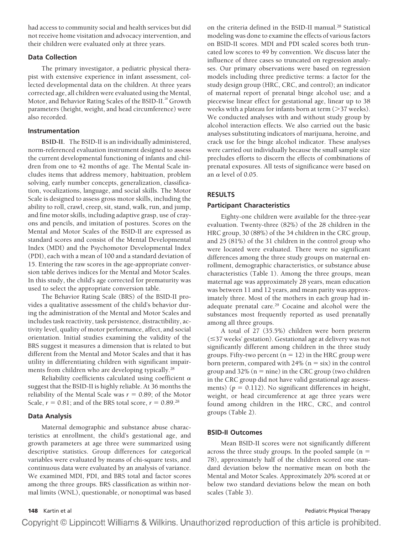had access to community social and health services but did not receive home visitation and advocacy intervention, and their children were evaluated only at three years.

### **Data Collection**

The primary investigator, a pediatric physical therapist with extensive experience in infant assessment, collected developmental data on the children. At three years corrected age, all children were evaluated using the Mental, Motor, and Behavior Rating Scales of the BSID-II.<sup>28</sup> Growth parameters (height, weight, and head circumference) were also recorded.

#### **Instrumentation**

**BSID-II.** The BSID-II is an individually administered, norm-referenced evaluation instrument designed to assess the current developmental functioning of infants and children from one to 42 months of age. The Mental Scale includes items that address memory, habituation, problem solving, early number concepts, generalization, classification, vocalizations, language, and social skills. The Motor Scale is designed to assess gross motor skills, including the ability to roll, crawl, creep, sit, stand, walk, run, and jump, and fine motor skills, including adaptive grasp, use of crayons and pencils, and imitation of postures. Scores on the Mental and Motor Scales of the BSID-II are expressed as standard scores and consist of the Mental Developmental Index (MDI) and the Psychomotor Developmental Index (PDI), each with a mean of 100 and a standard deviation of 15. Entering the raw scores in the age-appropriate conversion table derives indices for the Mental and Motor Scales. In this study, the child's age corrected for prematurity was used to select the appropriate conversion table.

The Behavior Rating Scale (BRS) of the BSID-II provides a qualitative assessment of the child's behavior during the administration of the Mental and Motor Scales and includes task reactivity, task persistence, distractibility, activity level, quality of motor performance, affect, and social orientation. Initial studies examining the validity of the BRS suggest it measures a dimension that is related to but different from the Mental and Motor Scales and that it has utility in differentiating children with significant impairments from children who are developing typically.<sup>28</sup>

Reliability coefficients calculated using coefficient  $\alpha$ suggest that the BSID-II is highly reliable. At 36 months the reliability of the Mental Scale was  $r = 0.89$ ; of the Motor Scale,  $r = 0.81$ ; and of the BRS total score,  $r = 0.89$ .<sup>28</sup>

# **Data Analysis**

Maternal demographic and substance abuse characteristics at enrollment, the child's gestational age, and growth parameters at age three were summarized using descriptive statistics. Group differences for categorical variables were evaluated by means of chi-square tests, and continuous data were evaluated by an analysis of variance. We examined MDI, PDI, and BRS total and factor scores among the three groups. BRS classification as within normal limits (WNL), questionable, or nonoptimal was based on the criteria defined in the BSID-II manual.<sup>28</sup> Statistical modeling was done to examine the effects of various factors on BSID-II scores. MDI and PDI scaled scores both truncated low scores to 49 by convention. We discuss later the influence of three cases so truncated on regression analyses. Our primary observations were based on regression models including three predictive terms: a factor for the study design group (HRC, CRC, and control); an indicator of maternal report of prenatal binge alcohol use; and a piecewise linear effect for gestational age, linear up to 38 weeks with a plateau for infants born at term ( $>$ 37 weeks). We conducted analyses with and without study group by alcohol interaction effects. We also carried out the basic analyses substituting indicators of marijuana, heroine, and crack use for the binge alcohol indicator. These analyses were carried out individually because the small sample size precludes efforts to discern the effects of combinations of prenatal exposures. All tests of significance were based on an  $\alpha$  level of 0.05.

# **RESULTS**

### **Participant Characteristics**

Eighty-one children were available for the three-year evaluation. Twenty-three (82%) of the 28 children in the HRC group, 30 (88%) of the 34 children in the CRC group, and 25 (81%) of the 31 children in the control group who were located were evaluated. There were no significant differences among the three study groups on maternal enrollment, demographic characteristics, or substance abuse characteristics (Table 1). Among the three groups, mean maternal age was approximately 28 years, mean education was between 11 and 12 years, and mean parity was approximately three. Most of the mothers in each group had inadequate prenatal care.<sup>29</sup> Cocaine and alcohol were the substances most frequently reported as used prenatally among all three groups.

A total of 27 (35.5%) children were born preterm  $(\leq$ 37 weeks' gestation). Gestational age at delivery was not significantly different among children in the three study groups. Fifty-two percent  $(n = 12)$  in the HRC group were born preterm, compared with  $24\%$  ( $n = six$ ) in the control group and  $32\%$  (n = nine) in the CRC group (two children in the CRC group did not have valid gestational age assessments)  $(p = 0.112)$ . No significant differences in height, weight, or head circumference at age three years were found among children in the HRC, CRC, and control groups (Table 2).

# **BSID-II Outcomes**

Mean BSID-II scores were not significantly different across the three study groups. In the pooled sample  $(n =$ 78), approximately half of the children scored one standard deviation below the normative mean on both the Mental and Motor Scales. Approximately 20% scored at or below two standard deviations below the mean on both scales (Table 3).

**148** Kartin et al **Pediatric Physical Therapy Pediatric Physical Therapy Pediatric Physical Therapy**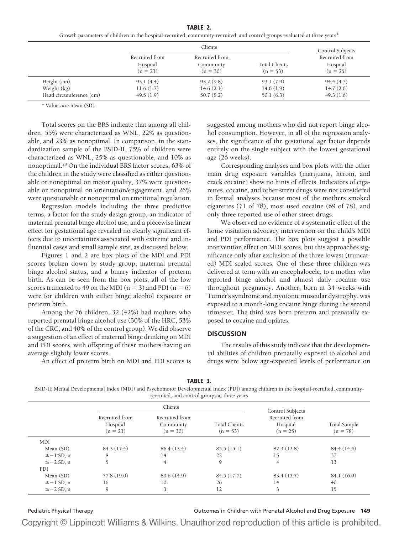Growth parameters of children in the hospital-recruited, community-recruited, and control groups evaluated at three years\*

|                         |                                          | Clients                                   |                                    |                                                              |
|-------------------------|------------------------------------------|-------------------------------------------|------------------------------------|--------------------------------------------------------------|
|                         | Recruited from<br>Hospital<br>$(n = 23)$ | Recruited from<br>Community<br>$(n = 30)$ | <b>Total Clients</b><br>$(n = 53)$ | Control Subjects<br>Recruited from<br>Hospital<br>$(n = 25)$ |
| Height (cm)             | 93.1(4.4)                                | 93.2(9.8)                                 | 93.1(7.9)                          | 94.4(4.7)                                                    |
| Weight (kg)             | 11.6(1.7)                                | 14.6(2.1)                                 | 14.6(1.9)                          | 14.7(2.6)                                                    |
| Head circumference (cm) | 49.5(1.9)                                | 50.7(8.2)                                 | 50.1(6.3)                          | 49.3(1.6)                                                    |

\* Values are mean (SD).

Total scores on the BRS indicate that among all children, 55% were characterized as WNL, 22% as questionable, and 23% as nonoptimal. In comparison, in the standardization sample of the BSID-II, 75% of children were characterized as WNL, 25% as questionable, and 10% as nonoptimal.28 On the individual BRS factor scores, 63% of the children in the study were classified as either questionable or nonoptimal on motor quality, 37% were questionable or nonoptimal on orientation/engagement, and 26% were questionable or nonoptimal on emotional regulation.

Regression models including the three predictive terms, a factor for the study design group, an indicator of maternal prenatal binge alcohol use, and a piecewise linear effect for gestational age revealed no clearly significant effects due to uncertainties associated with extreme and influential cases and small sample size, as discussed below.

Figures 1 and 2 are box plots of the MDI and PDI scores broken down by study group, maternal prenatal binge alcohol status, and a binary indicator of preterm birth. As can be seen from the box plots, all of the low scores truncated to 49 on the MDI ( $n = 3$ ) and PDI ( $n = 6$ ) were for children with either binge alcohol exposure or preterm birth.

Among the 76 children, 32 (42%) had mothers who reported prenatal binge alcohol use (30% of the HRC, 53% of the CRC, and 40% of the control group). We did observe a suggestion of an effect of maternal binge drinking on MDI and PDI scores, with offspring of these mothers having on average slightly lower scores.

An effect of preterm birth on MDI and PDI scores is

suggested among mothers who did not report binge alcohol consumption. However, in all of the regression analyses, the significance of the gestational age factor depends entirely on the single subject with the lowest gestational age (26 weeks).

Corresponding analyses and box plots with the other main drug exposure variables (marijuana, heroin, and crack cocaine) show no hints of effects. Indicators of cigarettes, cocaine, and other street drugs were not considered in formal analyses because most of the mothers smoked cigarettes (71 of 78), most used cocaine (69 of 78), and only three reported use of other street drugs.

We observed no evidence of a systematic effect of the home visitation advocacy intervention on the child's MDI and PDI performance. The box plots suggest a possible intervention effect on MDI scores, but this approaches significance only after exclusion of the three lowest (truncated) MDI scaled scores. One of these three children was delivered at term with an encephalocele, to a mother who reported binge alcohol and almost daily cocaine use throughout pregnancy. Another, born at 34 weeks with Turner's syndrome and myotonic muscular dystrophy, was exposed to a month-long cocaine binge during the second trimester. The third was born preterm and prenatally exposed to cocaine and opiates.

### **DISCUSSION**

The results of this study indicate that the developmental abilities of children prenatally exposed to alcohol and drugs were below age-expected levels of performance on

|  | ×<br>۰. |
|--|---------|
|  |         |

BSID-II: Mental Developmental Index (MDI) and Psychomotor Developmental Index (PDI) among children in the hospital-recruited, communityrecruited, and control groups at three years

|                 |                                          | Clients                                   |                                    | Control Subjects                         |                            |
|-----------------|------------------------------------------|-------------------------------------------|------------------------------------|------------------------------------------|----------------------------|
|                 | Recruited from<br>Hospital<br>$(n = 23)$ | Recruited from<br>Community<br>$(n = 30)$ | <b>Total Clients</b><br>$(n = 53)$ | Recruited from<br>Hospital<br>$(n = 25)$ | Total Sample<br>$(n = 78)$ |
| MDI             |                                          |                                           |                                    |                                          |                            |
| Mean (SD)       | 84.3 (17.4)                              | 86.4 (13.4)                               | 85.5(15.1)                         | 82.3 (12.8)                              | 84.4 (14.4)                |
| $\leq -1$ SD, n | 8                                        | 14                                        | 22                                 | 15                                       | 37                         |
| $\leq -2$ SD, n |                                          | $\overline{4}$                            | 9                                  | 4                                        | 13                         |
| PDI             |                                          |                                           |                                    |                                          |                            |
| Mean (SD)       | 77.8 (19.0)                              | 89.6 (14.9)                               | 84.5 (17.7)                        | 83.4 (15.7)                              | 84.1 (16.9)                |
| $\leq -1$ SD, n | 16                                       | 10                                        | 26                                 | 14                                       | 40                         |
| $\leq -2$ SD, n | 9                                        | 3                                         | 12                                 | 3                                        | 15                         |

Pediatric Physical Therapy Outcomes in Children with Prenatal Alcohol and Drug Exposure **149**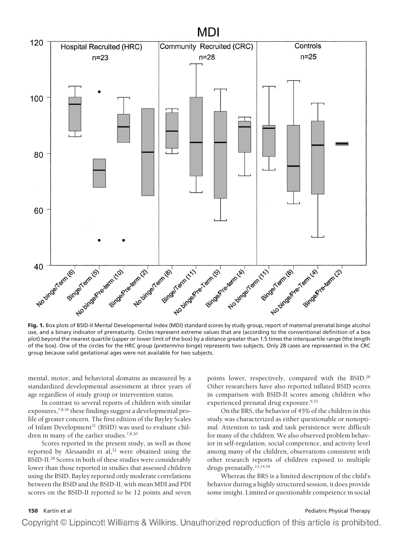

**Fig. 1.** Box plots of BSID-II Mental Developmental Index (MDI) standard scores by study group, report of maternal prenatal binge alcohol use, and a binary indicator of prematurity. Circles represent extreme values that are (according to the conventional definition of a box plot) beyond the nearest quartile (upper or lower limit of the box) by a distance greater than 1.5 times the interquartile range (the length of the box). One of the circles for the HRC group (preterm/no binge) represents two subjects. Only 28 cases are represented in the CRC group because valid gestational ages were not available for two subjects.

mental, motor, and behavioral domains as measured by a standardized developmental assessment at three years of age regardless of study group or intervention status.

In contrast to several reports of children with similar exposures,7,8,30 these findings suggest a developmental profile of greater concern. The first edition of the Bayley Scales of Infant Development<sup>31</sup> (BSID) was used to evaluate children in many of the earlier studies.<sup>7,8,30</sup>

Scores reported in the present study, as well as those reported by Alessandri et al,<sup>32</sup> were obtained using the BSID-II.28 Scores in both of these studies were considerably lower than those reported in studies that assessed children using the BSID. Bayley reported only moderate correlations between the BSID and the BSID-II, with mean MDI and PDI scores on the BSID-II reported to be 12 points and seven points lower, respectively, compared with the BSID.<sup>28</sup> Other researchers have also reported inflated BSID scores in comparison with BSID-II scores among children who experienced prenatal drug exposure.<sup>9,33</sup>

On the BRS, the behavior of 45% of the children in this study was characterized as either questionable or nonoptimal. Attention to task and task persistence were difficult for many of the children. We also observed problem behavior in self-regulation, social competence, and activity level among many of the children, observations consistent with other research reports of children exposed to multiple drugs prenatally.13,14,34

Whereas the BRS is a limited description of the child's behavior during a highly structured session, it does provide some insight. Limited or questionable competence in social

**150** Kartin et al **Pediatric Physical Therapy Pediatric Physical Therapy Pediatric Physical Therapy**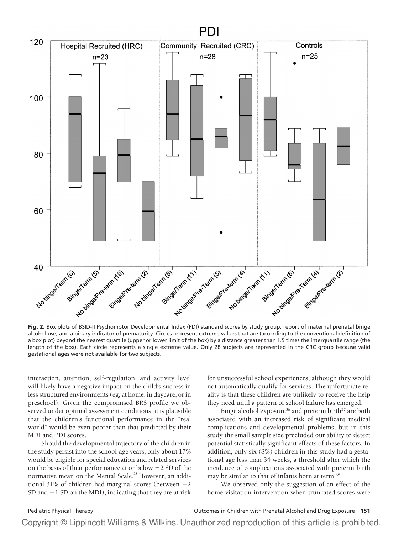

**Fig. 2.** Box plots of BSID-II Psychomotor Developmental Index (PDI) standard scores by study group, report of maternal prenatal binge alcohol use, and a binary indicator of prematurity. Circles represent extreme values that are (according to the conventional definition of a box plot) beyond the nearest quartile (upper or lower limit of the box) by a distance greater than 1.5 times the interquartile range (the length of the box). Each circle represents a single extreme value. Only 28 subjects are represented in the CRC group because valid gestational ages were not available for two subjects.

interaction, attention, self-regulation, and activity level will likely have a negative impact on the child's success in less structured environments (eg, at home, in daycare, or in preschool). Given the compromised BRS profile we observed under optimal assessment conditions, it is plausible that the children's functional performance in the "real world" would be even poorer than that predicted by their MDI and PDI scores.

Should the developmental trajectory of the children in the study persist into the school-age years, only about 17% would be eligible for special education and related services on the basis of their performance at or below  $-2$  SD of the normative mean on the Mental Scale.<sup>35</sup> However, an additional 31% of children had marginal scores (between  $-2$ SD and  $-1$  SD on the MDI), indicating that they are at risk for unsuccessful school experiences, although they would not automatically qualify for services. The unfortunate reality is that these children are unlikely to receive the help they need until a pattern of school failure has emerged.

Binge alcohol exposure<sup>36</sup> and preterm birth<sup>37</sup> are both associated with an increased risk of significant medical complications and developmental problems, but in this study the small sample size precluded our ability to detect potential statistically significant effects of these factors. In addition, only six (8%) children in this study had a gestational age less than 34 weeks, a threshold after which the incidence of complications associated with preterm birth may be similar to that of infants born at term.<sup>38</sup>

We observed only the suggestion of an effect of the home visitation intervention when truncated scores were

Pediatric Physical Therapy Outcomes in Children with Prenatal Alcohol and Drug Exposure **151**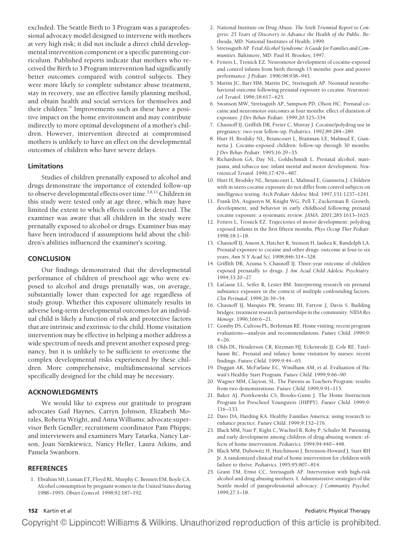excluded. The Seattle Birth to 3 Program was a paraprofessional advocacy model designed to intervene with mothers at very high risk; it did not include a direct child developmental intervention component or a specific parenting curriculum. Published reports indicate that mothers who received the Birth to 3 Program intervention had significantly better outcomes compared with control subjects. They were more likely to complete substance abuse treatment, stay in recovery, use an effective family planning method, and obtain health and social services for themselves and their children.<sup>26</sup> Improvements such as these have a positive impact on the home environment and may contribute indirectly to more optimal development of a mother's children. However, intervention directed at compromised mothers is unlikely to have an effect on the developmental outcomes of children who have severe delays.

### **Limitations**

Studies of children prenatally exposed to alcohol and drugs demonstrate the importance of extended follow-up to observe developmental effects over time.3,8,13 Children in this study were tested only at age three, which may have limited the extent to which effects could be detected. The examiner was aware that all children in the study were prenatally exposed to alcohol or drugs. Examiner bias may have been introduced if assumptions held about the children's abilities influenced the examiner's scoring.

#### **CONCLUSION**

Our findings demonstrated that the developmental performance of children of preschool age who were exposed to alcohol and drugs prenatally was, on average, substantially lower than expected for age regardless of study group. Whether this exposure ultimately results in adverse long-term developmental outcomes for an individual child is likely a function of risk and protective factors that are intrinsic and extrinsic to the child. Home visitation intervention may be effective in helping a mother address a wide spectrum of needs and prevent another exposed pregnancy, but it is unlikely to be sufficient to overcome the complex developmental risks experienced by these children. More comprehensive, multidimensional services specifically designed for the child may be necessary.

#### **ACKNOWLEDGMENTS**

We would like to express our gratitude to program advocates Gail Haynes, Carryn Johnson, Elizabeth Morales, Roberta Wright, and Anna Williams; advocate supervisor Beth Gendler; recruitment coordinator Pam Phipps; and interviewers and examiners Mary Tatarka, Nancy Larson, Joan Sienkiewicz, Nancy Heller, Laura Atkins, and Pamela Swanborn.

#### **REFERENCES**

1. Ebrahim SH, Luman ET, Floyd RL, Murphy C, Bennett EM, Boyle CA. Alcohol consumption by pregnant women in the United States during 1988–1995. *Obstet Gynecol*. 1998;92:187–192.

- 2. National Institute on Drug Abuse. *The Sixth Triennial Report to Congress: 25 Years of Discovery to Advance the Health of the Public*. Bethesda, MD: National Institutes of Health; 1999.
- 3. Streissguth AP. *Fetal Alcohol Syndrome: A Guide for Families and Communities*. Baltimore, MD: Paul H. Brookes; 1997.
- 4. Fetters L, Tronick EZ. Neuromotor development of cocaine-exposed and control infants from birth through 15 months: poor and poorer performance. *J Pediatr*. 1996;98:938–943.
- 5. Martin JC, Barr HM, Martin DC, Streissguth AP. Neonatal neurobehavioral outcome following prenatal exposure to cocaine. *Neurotoxicol Teratol*. 1996;18:617–625.
- 6. Swanson MW, Streissguth AP, Sampson PD, Olson HC. Prenatal cocaine and neuromotor outcomes at four months: effect of duration of exposure. *J Dev Behav Pediatr*. 1999;20:325–334.
- 7. Chasnoff IJ, Griffith DR, Freier C, Murray J. Cocaine/polydrug use in pregnancy: two-year follow-up. *Pediatrics*. 1992;89:284–289.
- 8. Hurt H, Brodsky NL, Betancourt L, Braitman LE, Malmud E, Giannetta J. Cocaine-exposed children: follow-up through 30 months. *J Dev Behav Pediatr*. 1995;16:29–35.
- 9. Richardson GA, Day NL, Goldschmidt L. Prenatal alcohol, marijuana, and tobacco use: infant mental and motor development. *Neurotoxicol Teratol*. 1996;17:479–487.
- 10. Hurt H, Brodsky NL, Betancourt L, Malmud E, Giannetta J. Children with in utero cocaine exposure do not differ from control subjects on intelligence testing. *Arch Pediatr Adolesc Med*. 1997;151:1237–1241.
- 11. Frank DA, Augustyn M, Knight WG, Pell T, Zuckerman B. Growth, development, and behavior in early childhood following prenatal cocaine exposure: a systematic review. *JAMA*. 2001;285:1613–1625.
- 12. Fetters L, Tronick EZ. Trajectories of motor development: polydrug exposed infants in the first fifteen months. *Phys Occup Ther Pediatr*. 1998;18:1–18.
- 13. Chasnoff IJ, Anson A, Hatcher R, Stenson H, Iaukea K, Randolph LA. Prenatal exposure to cocaine and other drugs: outcome at four to six years. *Ann N Y Acad Sci*. 1998;846:314–328.
- 14. Griffith DR, Azuma S, Chasnoff IJ. Three-year outcome of children exposed prenatally to drugs. *J Am Acad Child Adolesc Psychiatry*. 1994;33:20–27.
- 15. LaGasse LL, Seifer R, Lester BM. Interpreting research on prenatal substance exposure in the context of multiple confounding factors. *Clin Perinatol*. 1999;26:39–54.
- 16. Chasnoff IJ, Marques PR, Strantz IH, Farrow J, Davis S. Building bridges: treatment research partnerships in the community. *NIDA Res Monogr*. 1996;166:6–21.
- 17. Gomby DS, Culross PL, Berhrman RE. Home visiting: recent program evaluations—analysis and recommendations. *Future Child*. 1999;9: 4–26.
- 18. Olds DL, Henderson CR, Kitzman HJ, Eckenrode JJ, Cole RE, Tatelbaum RC. Prenatal and infancy home visitation by nurses: recent findings. *Future Child*. 1999;9:44–65.
- 19. Duggan AK, McFarlane EC, Windham AM, et al. Evaluation of Hawaii's Healthy Start Program. *Future Child*. 1999;9:66–90.
- 20. Wagner MM, Clayton, SL. The Parents as Teachers Program: results from two demonstrations. *Future Child*. 1999;9:91–115.
- 21. Baker AJ, Piotrkowski CS, Brooks-Gunn J. The Home Instruction Program for Preschool Youngsters (HIPPY). *Future Child*. 1999;9: 116–133.
- 22. Daro DA, Harding KA. Healthy Families America: using research to enhance practice. *Future Child*. 1999;9:152–176.
- 23. Black MM, Nair P, Kight C, Wachtel R, Roby P, Schuler M. Parenting and early development among children of drug-abusing women: effects of home intervention. *Pediatrics*. 1994;94:440–448.
- 24. Black MM, Dubowitz H, Hutchinson J, Berenson-Howard J, Starr RH Jr. A randomized clinical trial of home intervention for children with failure to thrive. *Pediatrics*. 1995;95:807–814.
- 25. Grant TM, Ernst CC, Streissguth AP. Intervention with high-risk alcohol and drug abusing mothers. I. Administrative strategies of the Seattle model of paraprofessional advocacy. *J Community Psychol*. 1999;27:1–18.

#### **152** Kartin et al **Pediatric Physical Therapy Pediatric Physical Therapy Pediatric Physical Therapy**